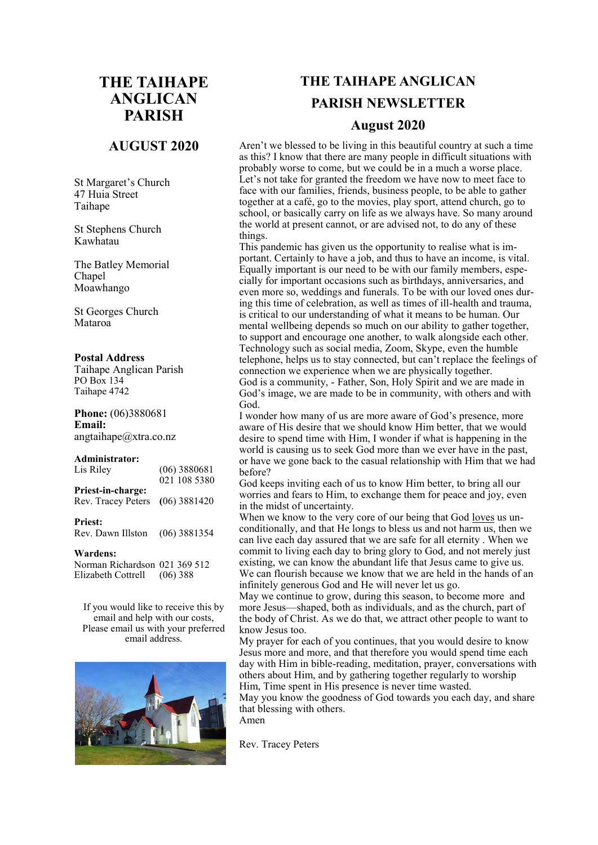# **THE TAIHAPE ANGLICAN PARISH**

### **AUGUST 2020**

St Margaret's Church 47 Huia Street Taihape

St Stephens Church Kawhatau

The Batley Memorial Chapel Moawhango

St Georges Church Mataroa

#### **Postal Address**

Taihape Anglican Parish PO Box 134 Taihape 4742

**Phone:** (06)3880681 **Email:** angtaihape@xtra.co.nz

#### **Administrator:**

| Lis Riley                                      | $(06)$ 3880681<br>021 108 5380 |
|------------------------------------------------|--------------------------------|
| <b>Priest-in-charge:</b><br>Rev. Tracey Peters | $(06)$ 3881420                 |
| <b>Priest:</b>                                 |                                |

Rev. Dawn Illston (06) 3881354

#### **Wardens:**

Norman Richardson 021 369 512 Elizabeth Cottrell (06) 388

If you would like to receive this by email and help with our costs, Please email us with your preferred email address.



# **THE TAIHAPE ANGLICAN PARISH NEWSLETTER August 2020**

Aren't we blessed to be living in this beautiful country at such a time as this? I know that there are many people in difficult situations with probably worse to come, but we could be in a much a worse place. Let's not take for granted the freedom we have now to meet face to face with our families, friends, business people, to be able to gather together at a café, go to the movies, play sport, attend church, go to school, or basically carry on life as we always have. So many around the world at present cannot, or are advised not, to do any of these things.

This pandemic has given us the opportunity to realise what is important. Certainly to have a job, and thus to have an income, is vital. Equally important is our need to be with our family members, especially for important occasions such as birthdays, anniversaries, and even more so, weddings and funerals. To be with our loved ones during this time of celebration, as well as times of ill-health and trauma, is critical to our understanding of what it means to be human. Our mental wellbeing depends so much on our ability to gather together, to support and encourage one another, to walk alongside each other. Technology such as social media, Zoom, Skype, even the humble telephone, helps us to stay connected, but can't replace the feelings of connection we experience when we are physically together. God is a community, - Father, Son, Holy Spirit and we are made in God's image, we are made to be in community, with others and with God.

I wonder how many of us are more aware of God's presence, more aware of His desire that we should know Him better, that we would desire to spend time with Him, I wonder if what is happening in the world is causing us to seek God more than we ever have in the past, or have we gone back to the casual relationship with Him that we had before?

God keeps inviting each of us to know Him better, to bring all our worries and fears to Him, to exchange them for peace and joy, even in the midst of uncertainty.

When we know to the very core of our being that God loves us unconditionally, and that He longs to bless us and not harm us, then we can live each day assured that we are safe for all eternity . When we commit to living each day to bring glory to God, and not merely just existing, we can know the abundant life that Jesus came to give us. We can flourish because we know that we are held in the hands of an infinitely generous God and He will never let us go.

May we continue to grow, during this season, to become more and more Jesus—shaped, both as individuals, and as the church, part of the body of Christ. As we do that, we attract other people to want to know Jesus too.

My prayer for each of you continues, that you would desire to know Jesus more and more, and that therefore you would spend time each day with Him in bible-reading, meditation, prayer, conversations with others about Him, and by gathering together regularly to worship Him, Time spent in His presence is never time wasted.

May you know the goodness of God towards you each day, and share that blessing with others.

Amen

Rev. Tracey Peters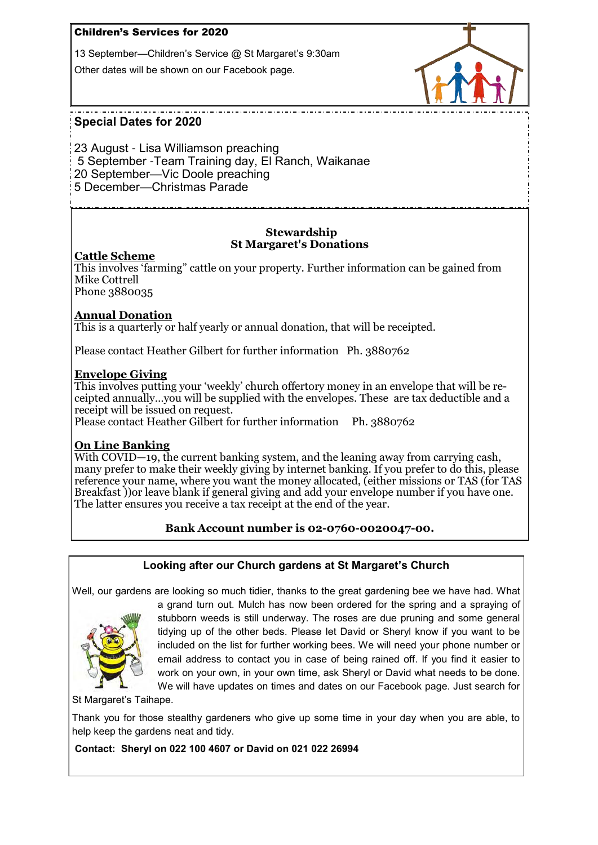### Children's Services for 2020

13 September—Children's Service @ St Margaret's 9:30am

Other dates will be shown on our Facebook page.



#### **Special Dates for 2020**

23 August - Lisa Williamson preaching 5 September -Team Training day, El Ranch, Waikanae 20 September—Vic Doole preaching 5 December—Christmas Parade

## **Stewardship St Margaret's Donations**

# **Cattle Scheme**

This involves 'farming" cattle on your property. Further information can be gained from Mike Cottrell Phone 3880035

### **Annual Donation**

This is a quarterly or half yearly or annual donation, that will be receipted.

Please contact Heather Gilbert for further information Ph. 3880762

### **Envelope Giving**

This involves putting your 'weekly' church offertory money in an envelope that will be receipted annually…you will be supplied with the envelopes. These are tax deductible and a receipt will be issued on request.

Please contact Heather Gilbert for further information Ph. 3880762

## **On Line Banking**

With  $\text{COVID}-19$ , the current banking system, and the leaning away from carrying cash. many prefer to make their weekly giving by internet banking. If you prefer to do this, please reference your name, where you want the money allocated, (either missions or TAS (for TAS Breakfast ))or leave blank if general giving and add your envelope number if you have one. The latter ensures you receive a tax receipt at the end of the year.

## **Bank Account number is 02-0760-0020047-00.**

### **Looking after our Church gardens at St Margaret's Church**

Well, our gardens are looking so much tidier, thanks to the great gardening bee we have had. What



a grand turn out. Mulch has now been ordered for the spring and a spraying of stubborn weeds is still underway. The roses are due pruning and some general tidying up of the other beds. Please let David or Sheryl know if you want to be included on the list for further working bees. We will need your phone number or email address to contact you in case of being rained off. If you find it easier to work on your own, in your own time, ask Sheryl or David what needs to be done. We will have updates on times and dates on our Facebook page. Just search for

St Margaret's Taihape.

Thank you for those stealthy gardeners who give up some time in your day when you are able, to help keep the gardens neat and tidy.

 **Contact: Sheryl on 022 100 4607 or David on 021 022 26994**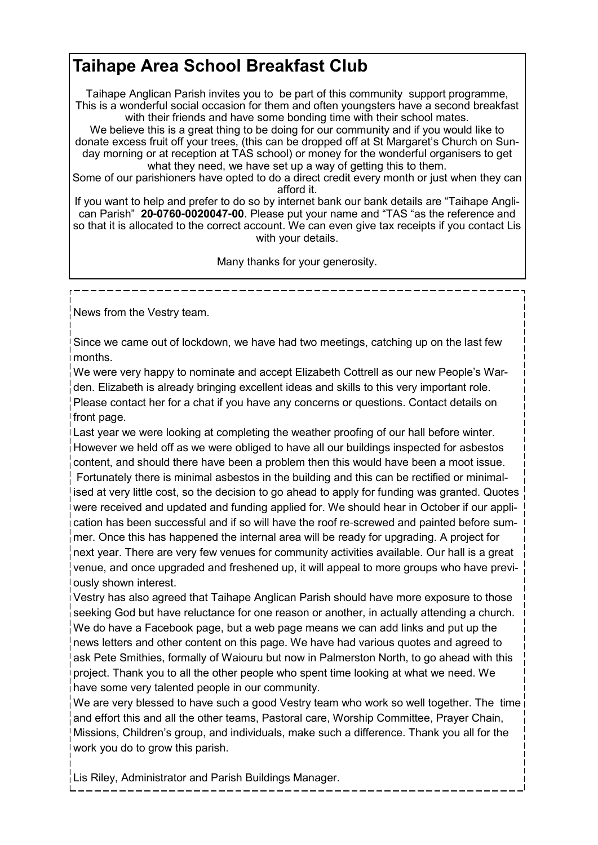# **Taihape Area School Breakfast Club**

Taihape Anglican Parish invites you to be part of this community support programme, This is a wonderful social occasion for them and often youngsters have a second breakfast with their friends and have some bonding time with their school mates.

We believe this is a great thing to be doing for our community and if you would like to donate excess fruit off your trees, (this can be dropped off at St Margaret's Church on Sunday morning or at reception at TAS school) or money for the wonderful organisers to get what they need, we have set up a way of getting this to them.

Some of our parishioners have opted to do a direct credit every month or just when they can afford it.

If you want to help and prefer to do so by internet bank our bank details are "Taihape Anglican Parish‖ **20-0760-0020047-00**. Please put your name and ―TAS ―as the reference and so that it is allocated to the correct account. We can even give tax receipts if you contact Lis with your details.

Many thanks for your generosity.

News from the Vestry team.

Since we came out of lockdown, we have had two meetings, catching up on the last few months.

We were very happy to nominate and accept Elizabeth Cottrell as our new People's Warden. Elizabeth is already bringing excellent ideas and skills to this very important role. Please contact her for a chat if you have any concerns or questions. Contact details on front page.

Last year we were looking at completing the weather proofing of our hall before winter. However we held off as we were obliged to have all our buildings inspected for asbestos content, and should there have been a problem then this would have been a moot issue. Fortunately there is minimal asbestos in the building and this can be rectified or minimalised at very little cost, so the decision to go ahead to apply for funding was granted. Quotes were received and updated and funding applied for. We should hear in October if our application has been successful and if so will have the roof re-screwed and painted before summer. Once this has happened the internal area will be ready for upgrading. A project for next year. There are very few venues for community activities available. Our hall is a great venue, and once upgraded and freshened up, it will appeal to more groups who have previously shown interest.

Vestry has also agreed that Taihape Anglican Parish should have more exposure to those seeking God but have reluctance for one reason or another, in actually attending a church. We do have a Facebook page, but a web page means we can add links and put up the news letters and other content on this page. We have had various quotes and agreed to ask Pete Smithies, formally of Waiouru but now in Palmerston North, to go ahead with this project. Thank you to all the other people who spent time looking at what we need. We have some very talented people in our community.

We are very blessed to have such a good Vestry team who work so well together. The time and effort this and all the other teams, Pastoral care, Worship Committee, Prayer Chain, Missions, Children's group, and individuals, make such a difference. Thank you all for the work you do to grow this parish.

Lis Riley, Administrator and Parish Buildings Manager.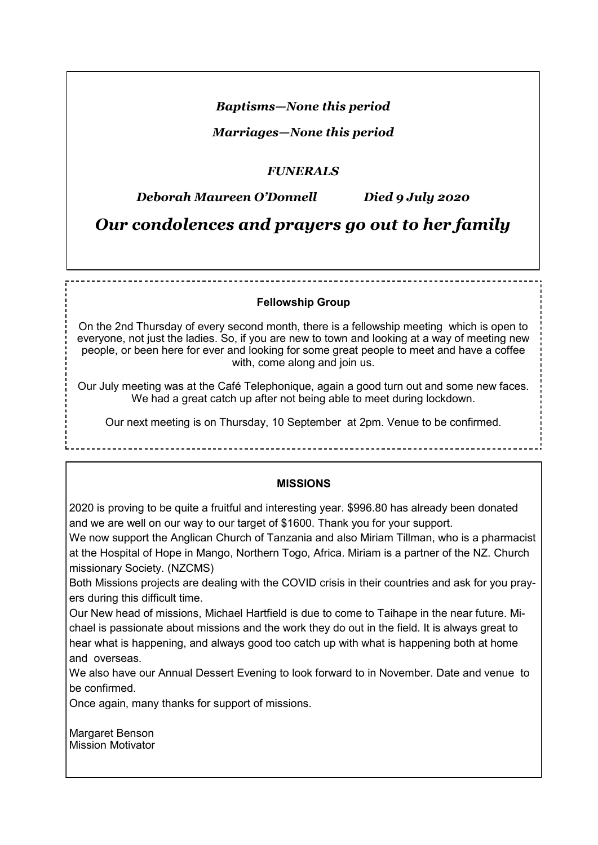# *Baptisms—None this period*

*Marriages—None this period*

# *FUNERALS*

# *Deborah Maureen O'Donnell Died 9 July 2020*

*Our condolences and prayers go out to her family*

### **Fellowship Group**

On the 2nd Thursday of every second month, there is a fellowship meeting which is open to everyone, not just the ladies. So, if you are new to town and looking at a way of meeting new people, or been here for ever and looking for some great people to meet and have a coffee with, come along and join us.

Our July meeting was at the Café Telephonique, again a good turn out and some new faces. We had a great catch up after not being able to meet during lockdown.

Our next meeting is on Thursday, 10 September at 2pm. Venue to be confirmed.

### **MISSIONS**

2020 is proving to be quite a fruitful and interesting year. \$996.80 has already been donated and we are well on our way to our target of \$1600. Thank you for your support.

We now support the Anglican Church of Tanzania and also Miriam Tillman, who is a pharmacist at the Hospital of Hope in Mango, Northern Togo, Africa. Miriam is a partner of the NZ. Church missionary Society. (NZCMS)

Both Missions projects are dealing with the COVID crisis in their countries and ask for you prayers during this difficult time.

Our New head of missions, Michael Hartfield is due to come to Taihape in the near future. Michael is passionate about missions and the work they do out in the field. It is always great to hear what is happening, and always good too catch up with what is happening both at home and overseas.

We also have our Annual Dessert Evening to look forward to in November. Date and venue to be confirmed.

Once again, many thanks for support of missions.

Margaret Benson Mission Motivator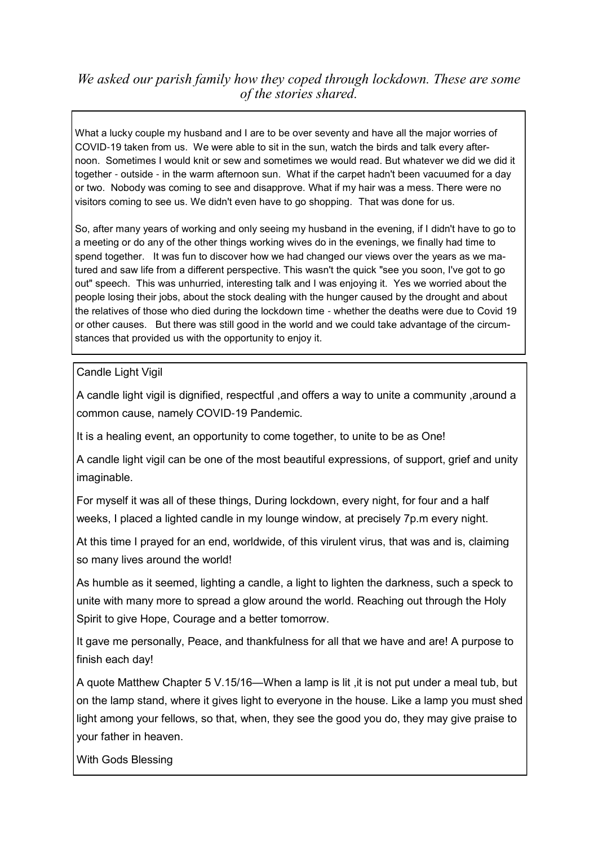# *We asked our parish family how they coped through lockdown. These are some of the stories shared.*

What a lucky couple my husband and I are to be over seventy and have all the major worries of COVID-19 taken from us. We were able to sit in the sun, watch the birds and talk every afternoon. Sometimes I would knit or sew and sometimes we would read. But whatever we did we did it together - outside - in the warm afternoon sun. What if the carpet hadn't been vacuumed for a day or two. Nobody was coming to see and disapprove. What if my hair was a mess. There were no visitors coming to see us. We didn't even have to go shopping. That was done for us.

So, after many years of working and only seeing my husband in the evening, if I didn't have to go to a meeting or do any of the other things working wives do in the evenings, we finally had time to spend together. It was fun to discover how we had changed our views over the years as we matured and saw life from a different perspective. This wasn't the quick "see you soon, I've got to go out" speech. This was unhurried, interesting talk and I was enjoying it. Yes we worried about the people losing their jobs, about the stock dealing with the hunger caused by the drought and about the relatives of those who died during the lockdown time - whether the deaths were due to Covid 19 or other causes. But there was still good in the world and we could take advantage of the circumstances that provided us with the opportunity to enjoy it.

Candle Light Vigil

A candle light vigil is dignified, respectful ,and offers a way to unite a community ,around a common cause, namely COVID-19 Pandemic.

It is a healing event, an opportunity to come together, to unite to be as One!

A candle light vigil can be one of the most beautiful expressions, of support, grief and unity imaginable.

For myself it was all of these things, During lockdown, every night, for four and a half weeks, I placed a lighted candle in my lounge window, at precisely 7p.m every night.

At this time I prayed for an end, worldwide, of this virulent virus, that was and is, claiming so many lives around the world!

As humble as it seemed, lighting a candle, a light to lighten the darkness, such a speck to unite with many more to spread a glow around the world. Reaching out through the Holy Spirit to give Hope, Courage and a better tomorrow.

It gave me personally, Peace, and thankfulness for all that we have and are! A purpose to finish each day!

A quote Matthew Chapter 5 V.15/16—When a lamp is lit ,it is not put under a meal tub, but on the lamp stand, where it gives light to everyone in the house. Like a lamp you must shed light among your fellows, so that, when, they see the good you do, they may give praise to your father in heaven.

With Gods Blessing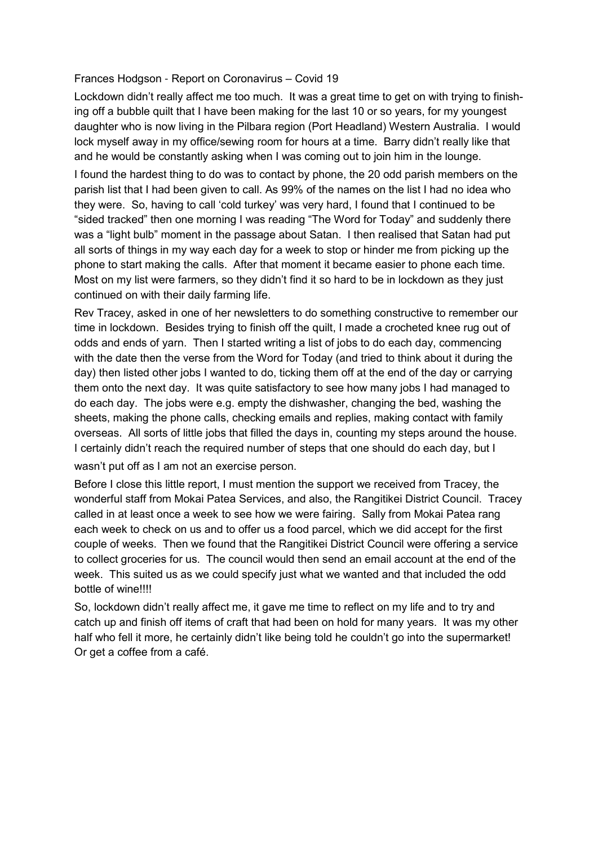### Frances Hodgson - Report on Coronavirus – Covid 19

Lockdown didn't really affect me too much. It was a great time to get on with trying to finishing off a bubble quilt that I have been making for the last 10 or so years, for my youngest daughter who is now living in the Pilbara region (Port Headland) Western Australia. I would lock myself away in my office/sewing room for hours at a time. Barry didn't really like that and he would be constantly asking when I was coming out to join him in the lounge.

I found the hardest thing to do was to contact by phone, the 20 odd parish members on the parish list that I had been given to call. As 99% of the names on the list I had no idea who they were. So, having to call 'cold turkey' was very hard, I found that I continued to be "sided tracked" then one morning I was reading "The Word for Today" and suddenly there was a "light bulb" moment in the passage about Satan. I then realised that Satan had put all sorts of things in my way each day for a week to stop or hinder me from picking up the phone to start making the calls. After that moment it became easier to phone each time. Most on my list were farmers, so they didn't find it so hard to be in lockdown as they just continued on with their daily farming life.

Rev Tracey, asked in one of her newsletters to do something constructive to remember our time in lockdown. Besides trying to finish off the quilt, I made a crocheted knee rug out of odds and ends of yarn. Then I started writing a list of jobs to do each day, commencing with the date then the verse from the Word for Today (and tried to think about it during the day) then listed other jobs I wanted to do, ticking them off at the end of the day or carrying them onto the next day. It was quite satisfactory to see how many jobs I had managed to do each day. The jobs were e.g. empty the dishwasher, changing the bed, washing the sheets, making the phone calls, checking emails and replies, making contact with family overseas. All sorts of little jobs that filled the days in, counting my steps around the house. I certainly didn't reach the required number of steps that one should do each day, but I

wasn't put off as I am not an exercise person.

Before I close this little report, I must mention the support we received from Tracey, the wonderful staff from Mokai Patea Services, and also, the Rangitikei District Council. Tracey called in at least once a week to see how we were fairing. Sally from Mokai Patea rang each week to check on us and to offer us a food parcel, which we did accept for the first couple of weeks. Then we found that the Rangitikei District Council were offering a service to collect groceries for us. The council would then send an email account at the end of the week. This suited us as we could specify just what we wanted and that included the odd bottle of wine!!!!

So, lockdown didn't really affect me, it gave me time to reflect on my life and to try and catch up and finish off items of craft that had been on hold for many years. It was my other half who fell it more, he certainly didn't like being told he couldn't go into the supermarket! Or get a coffee from a café.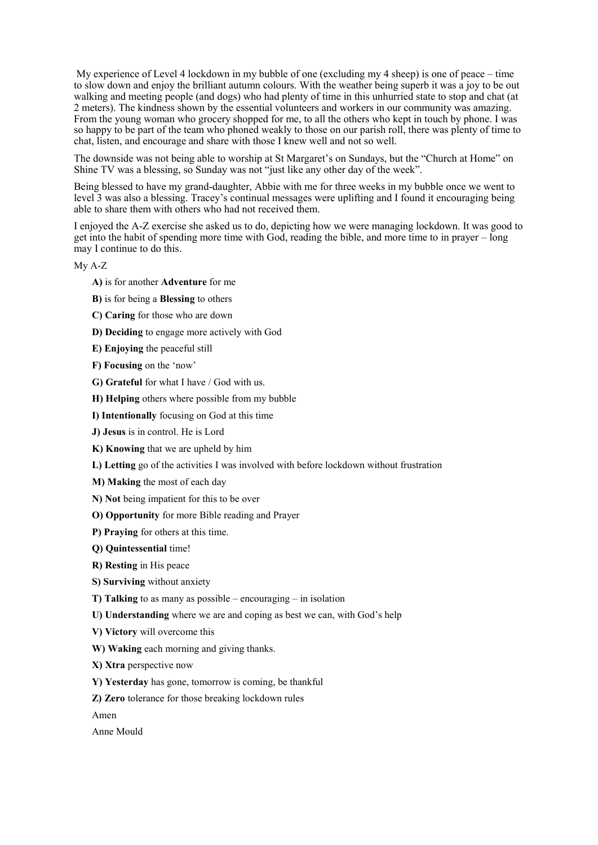My experience of Level 4 lockdown in my bubble of one (excluding my 4 sheep) is one of peace – time to slow down and enjoy the brilliant autumn colours. With the weather being superb it was a joy to be out walking and meeting people (and dogs) who had plenty of time in this unhurried state to stop and chat (at 2 meters). The kindness shown by the essential volunteers and workers in our community was amazing. From the young woman who grocery shopped for me, to all the others who kept in touch by phone. I was so happy to be part of the team who phoned weakly to those on our parish roll, there was plenty of time to chat, listen, and encourage and share with those I knew well and not so well.

The downside was not being able to worship at St Margaret's on Sundays, but the "Church at Home" on Shine TV was a blessing, so Sunday was not "just like any other day of the week".

Being blessed to have my grand-daughter, Abbie with me for three weeks in my bubble once we went to level 3 was also a blessing. Tracey's continual messages were uplifting and I found it encouraging being able to share them with others who had not received them.

I enjoyed the A-Z exercise she asked us to do, depicting how we were managing lockdown. It was good to get into the habit of spending more time with God, reading the bible, and more time to in prayer – long may I continue to do this.

My A-Z

- **A)** is for another **Adventure** for me
- **B)** is for being a **Blessing** to others
- **C) Caring** for those who are down
- **D) Deciding** to engage more actively with God
- **E) Enjoying** the peaceful still
- **F)** Focusing on the 'now'
- **G) Grateful** for what I have / God with us.
- **H) Helping** others where possible from my bubble
- **I) Intentionally** focusing on God at this time
- **J) Jesus** is in control. He is Lord
- **K) Knowing** that we are upheld by him
- **L) Letting** go of the activities I was involved with before lockdown without frustration
- **M) Making** the most of each day
- **N) Not** being impatient for this to be over
- **O) Opportunity** for more Bible reading and Prayer
- **P) Praying** for others at this time.
- **Q) Quintessential** time!
- **R) Resting** in His peace
- **S) Surviving** without anxiety
- **T) Talking** to as many as possible encouraging in isolation
- **U) Understanding** where we are and coping as best we can, with God's help
- **V) Victory** will overcome this
- **W) Waking** each morning and giving thanks.
- **X) Xtra** perspective now
- **Y) Yesterday** has gone, tomorrow is coming, be thankful
- **Z) Zero** tolerance for those breaking lockdown rules
- Amen

Anne Mould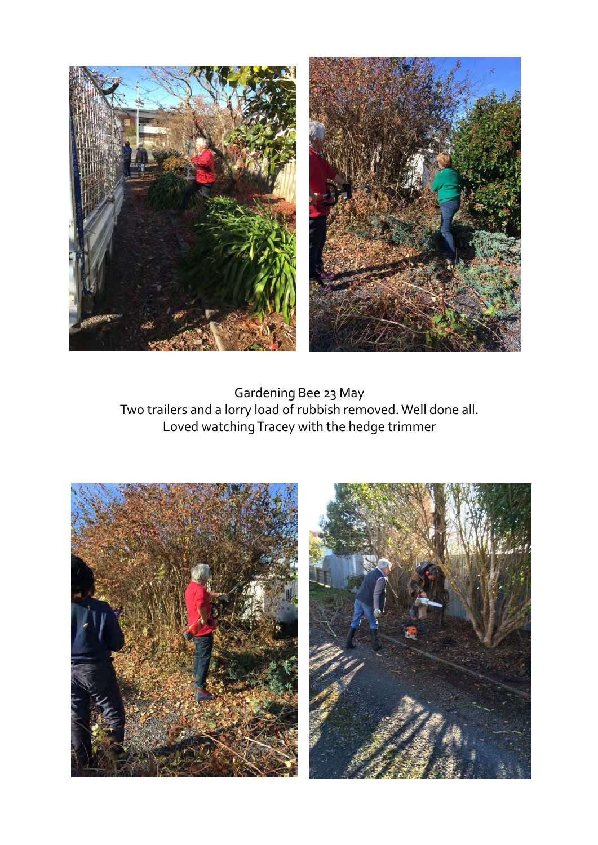

Gardening Bee 23 May Two trailers and a lorry load of rubbish removed. Well done all. Loved watching Tracey with the hedge trimmer



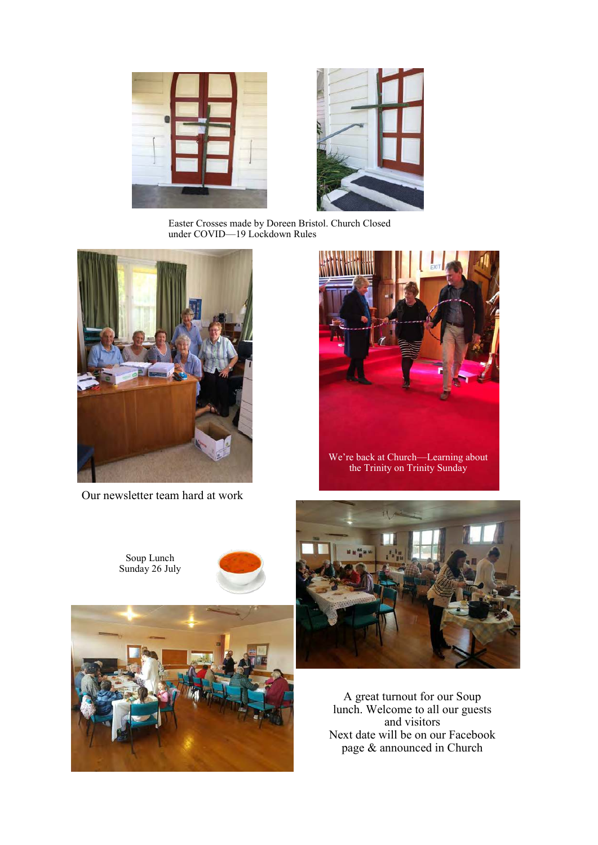



Easter Crosses made by Doreen Bristol. Church Closed under COVID—19 Lockdown Rules



Our newsletter team hard at work



We're back at Church—Learning about the Trinity on Trinity Sunday



A great turnout for our Soup lunch. Welcome to all our guests and visitors Next date will be on our Facebook page & announced in Church



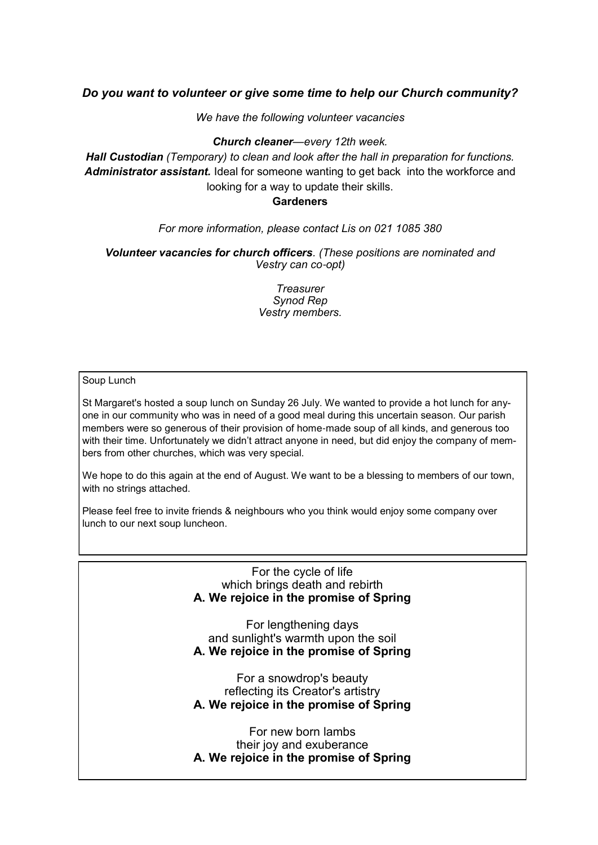### *Do you want to volunteer or give some time to help our Church community?*

*We have the following volunteer vacancies*

### *Church cleaner—every 12th week.*

*Hall Custodian (Temporary) to clean and look after the hall in preparation for functions. Administrator assistant.* Ideal for someone wanting to get back into the workforce and looking for a way to update their skills.

### **Gardeners**

### *For more information, please contact Lis on 021 1085 380*

*Volunteer vacancies for church officers. (These positions are nominated and Vestry can co-opt)* 

> *Treasurer Synod Rep Vestry members.*

#### Soup Lunch

St Margaret's hosted a soup lunch on Sunday 26 July. We wanted to provide a hot lunch for anyone in our community who was in need of a good meal during this uncertain season. Our parish members were so generous of their provision of home-made soup of all kinds, and generous too with their time. Unfortunately we didn't attract anyone in need, but did enjoy the company of members from other churches, which was very special.

We hope to do this again at the end of August. We want to be a blessing to members of our town, with no strings attached.

Please feel free to invite friends & neighbours who you think would enjoy some company over lunch to our next soup luncheon.

> For the cycle of life which brings death and rebirth **A. We rejoice in the promise of Spring**

> For lengthening days and sunlight's warmth upon the soil **A. We rejoice in the promise of Spring**

> For a snowdrop's beauty reflecting its Creator's artistry **A. We rejoice in the promise of Spring**

> For new born lambs their joy and exuberance **A. We rejoice in the promise of Spring**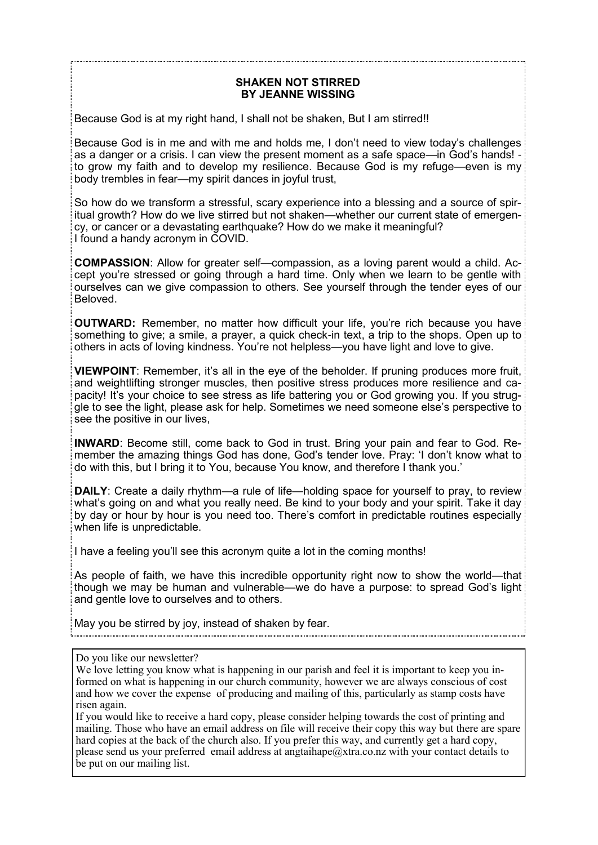### **SHAKEN NOT STIRRED BY JEANNE WISSING**

Because God is at my right hand, I shall not be shaken, But I am stirred!!

Because God is in me and with me and holds me, I don't need to view today's challenges as a danger or a crisis. I can view the present moment as a safe space—in God's hands! to grow my faith and to develop my resilience. Because God is my refuge—even is my body trembles in fear—my spirit dances in joyful trust,

So how do we transform a stressful, scary experience into a blessing and a source of spiritual growth? How do we live stirred but not shaken—whether our current state of emergency, or cancer or a devastating earthquake? How do we make it meaningful? I found a handy acronym in COVID.

**COMPASSION**: Allow for greater self—compassion, as a loving parent would a child. Accept you're stressed or going through a hard time. Only when we learn to be gentle with ourselves can we give compassion to others. See yourself through the tender eyes of our Beloved.

**OUTWARD:** Remember, no matter how difficult your life, you're rich because you have something to give; a smile, a prayer, a quick check-in text, a trip to the shops. Open up to others in acts of loving kindness. You're not helpless—you have light and love to give.

**VIEWPOINT**: Remember, it's all in the eye of the beholder. If pruning produces more fruit, and weightlifting stronger muscles, then positive stress produces more resilience and capacity! It's your choice to see stress as life battering you or God growing you. If you struggle to see the light, please ask for help. Sometimes we need someone else's perspective to see the positive in our lives,

**INWARD**: Become still, come back to God in trust. Bring your pain and fear to God. Remember the amazing things God has done, God's tender love. Pray: ‗I don't know what to do with this, but I bring it to You, because You know, and therefore I thank you.'

**DAILY**: Create a daily rhythm—a rule of life—holding space for yourself to pray, to review what's going on and what you really need. Be kind to your body and your spirit. Take it day by day or hour by hour is you need too. There's comfort in predictable routines especially when life is unpredictable.

I have a feeling you'll see this acronym quite a lot in the coming months!

As people of faith, we have this incredible opportunity right now to show the world—that though we may be human and vulnerable—we do have a purpose: to spread God's light and gentle love to ourselves and to others.

May you be stirred by joy, instead of shaken by fear.

#### Do you like our newsletter?

We love letting you know what is happening in our parish and feel it is important to keep you informed on what is happening in our church community, however we are always conscious of cost and how we cover the expense of producing and mailing of this, particularly as stamp costs have risen again.

If you would like to receive a hard copy, please consider helping towards the cost of printing and mailing. Those who have an email address on file will receive their copy this way but there are spare hard copies at the back of the church also. If you prefer this way, and currently get a hard copy, please send us your preferred email address at angtaihape $@x$ tra.co.nz with your contact details to be put on our mailing list.